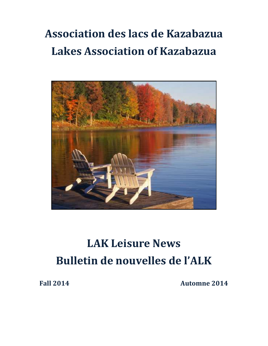## **Association des lacs de Kazabazua Lakes Association of Kazabazua**



# **LAK Leisure News Bulletin de nouvelles de l'ALK**

**Fall 2014 Automne 2014**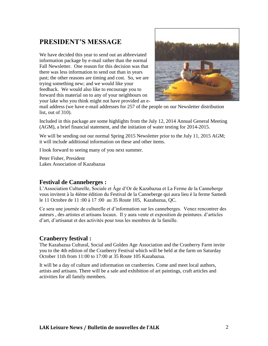## **PRESIDENT'S MESSAGE**

We have decided this year to send out an abbreviated information package by e-mail rather than the normal Fall Newsletter. One reason for this decision was that there was less information to send out than in years past; the other reasons are timing and cost. So, we are trying something new; and we would like your feedback. We would also like to encourage you to forward this material on to any of your neighbours on your lake who you think might not have provided an e-



mail address (we have e-mail addresses for 257 of the people on our Newsletter distribution list, out of 310).

Included in this package are some highlights from the July 12, 2014 Annual General Meeting (AGM), a brief financial statement, and the initiation of water testing for 2014-2015.

We will be sending out our normal Spring 2015 Newsletter prior to the July 11, 2015 AGM; it will include additional information on these and other items.

I look forward to seeing many of you next summer.

Peter Fisher, President Lakes Association of Kazabazua

#### **Festival de Canneberges :**

L'Association Culturelle, Sociale et Âge d'Or de Kazabazua et La Ferme de la Canneberge vous invitent à la 4ième édition du Festival de la Canneberge qui aura lieu è la ferme Samedi le 11 Octobre de 11 :00 à 17 :00 au 35 Route 105, Kazabazua, QC.

Ce sera une journée de culturelle et d'information sur les canneberges. Venez rencontrer des auteurs , des artistes et artisans locaux. Il y aura vente et exposition de peintures. d'articles d'art, d'artisanat et des activités pour tous les membres de la famille.

#### **Cranberry festival :**

The Kazabazua Cultural, Social and Golden Age Association and the Cranberry Farm invite you to the 4th edition of the Cranberry Festival which will be held at the farm on Saturday October 11th from 11:00 to 17:00 at 35 Route 105 Kazabazua.

It will be a day of culture and information on cranberries. Come and meet local authors, artists and artisans. There will be a sale and exhibition of art paintings, craft articles and activities for all family members.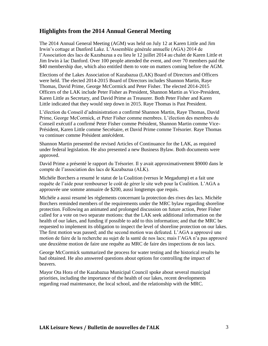## **Highlights from the 2014 Annual General Meeting**

The 2014 Annual General Meeting (AGM) was held on July 12 at Karen Little and Jim Irwin's cottage at Danford Lake. L'Assemblée générale annuelle (AGA) 2014 de l'Association des lacs de Kazabazua a eu lieu le 12 juillet 2014 au chalet de Karen Little et Jim Irwin à lac Danford. Over 100 people attended the event, and over 70 members paid the \$40 membership due, which also entitled them to vote on matters coming before the AGM.

Elections of the Lakes Association of Kazabazua (LAK) Board of Directors and Officers were held. The elected 2014-2015 Board of Directors includes Shannon Martin, Raye Thomas, David Prime, George McCormick and Peter Fisher. The elected 2014-2015 Officers of the LAK include Peter Fisher as President, Shannon Martin as Vice-President, Karen Little as Secretary, and David Prime as Treasurer. Both Peter Fisher and Karen Little indicated that they would step down in 2015. Raye Thomas is Past President.

L'élection du Conseil d'administration a confirmé Shannon Martin, Raye Thomas, David Prime, George McCormick, et Peter Fisher comme membres. L'élection des membres du Conseil exécutif a confirmé Peter Fisher comme Président, Shannon Martin comme Vice-Président, Karen Little comme Secrétaire, et David Prime comme Trésorier. Raye Thomas va continuer comme Président antécédent.

Shannon Martin presented the revised Articles of Continuance for the LAK, as required under federal legislation. He also presented a new Business Bylaw. Both documents were approved.

David Prime a présenté le rapport du Trésorier. Il y avait approximativement \$9000 dans le compte de l'association des lacs de Kazabazua (ALK).

Michèle Borchers a resumé le statut de la Coalition (versus le Megadump) et a fait une requête de l'aide pour rembourser le coût de gérer le site web pour la Coalition. L'AGA a approuvée une somme annuaire de \$200, aussi longtemps que requis.

Michèle a aussi resumé les règlements concernant la protection des rives des lacs. Michèle Borchers reminded members of the requirements under the MRC bylaw regarding shoreline protection. Following an animated and prolonged discussion on future action, Peter Fisher called for a vote on two separate motions: that the LAK seek additional information on the health of our lakes, and funding if possible to add to this information; and that the MRC be requested to implement its obligation to inspect the level of shoreline protection on our lakes. The first motion was passed; and the second motion was defeated. L'AGA a approuvé une motion de faire de la recherche au sujet de la santé de nos lacs; mais l'AGA n'a pas approuvé une deuxième motion de faire une requête au MRC de faire des inspections de nos lacs.

George McCormick summarized the process for water testing and the historical results he had obtained. He also answered questions about options for controlling the impact of beavers.

Mayor Ota Hora of the Kazabazua Municipal Council spoke about several municipal priorities, including the importance of the health of our lakes, recent developments regarding road maintenance, the local school, and the relationship with the MRC.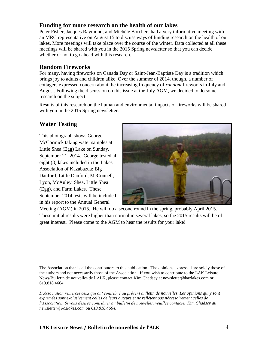### **Funding for more research on the health of our lakes**

Peter Fisher, Jacques Raymond, and Michèle Borchers had a very informative meeting with an MRC representative on August 15 to discuss ways of funding research on the health of our lakes. More meetings will take place over the course of the winter. Data collected at all these meetings will be shared with you in the 2015 Spring newsletter so that you can decide whether or not to go ahead with this research.

### **Random Fireworks**

For many, having fireworks on Canada Day or Saint-Jean-Baptiste Day is a tradition which brings joy to adults and children alike. Over the summer of 2014, though, a number of cottagers expressed concern about the increasing frequency of *random* fireworks in July and August. Following the discussion on this issue at the July AGM, we decided to do some research on the subject.

Results of this research on the human and environmental impacts of fireworks will be shared with you in the 2015 Spring newsletter.

## **Water Testing**

This photograph shows George McCormick taking water samples at Little Shea (Egg) Lake on Sunday, September 21, 2014. George tested all eight (8) lakes included in the Lakes Association of Kazabazua: Big Danford, Little Danford, McConnell, Lyon, McAuley, Shea, Little Shea (Egg), and Farm Lakes. These September 2014 tests will be included in his report to the Annual General



Meeting (AGM) in 2015. He will do a second round in the spring, probably April 2015. These initial results were higher than normal in several lakes, so the 2015 results will be of great interest. Please come to the AGM to hear the results for your lake!

The Association thanks all the contributors to this publication. The opinions expressed are solely those of the authors and not necessarily those of the Association. If you wish to contribute to the LAK Leisure News/Bulletin de nouvelles de l'ALK, please contact Kim Chadsey at [newsletter@kazlakes.com](mailto:newsletter@kazlakes.com) or 613.818.4664.

*L'Association remercie ceux qui ont contribué au présent bulletin de nouvelles. Les opinions qui y sont exprimées sont exclusivement celles de leurs auteurs et ne reflètent pas nécessairement celles de l'Association. Si vous désirez contribuer au bulletin de nouvelles, veuillez contacter Kim Chadsey au newsletter@kazlakes.com ou 613.818.4664.*